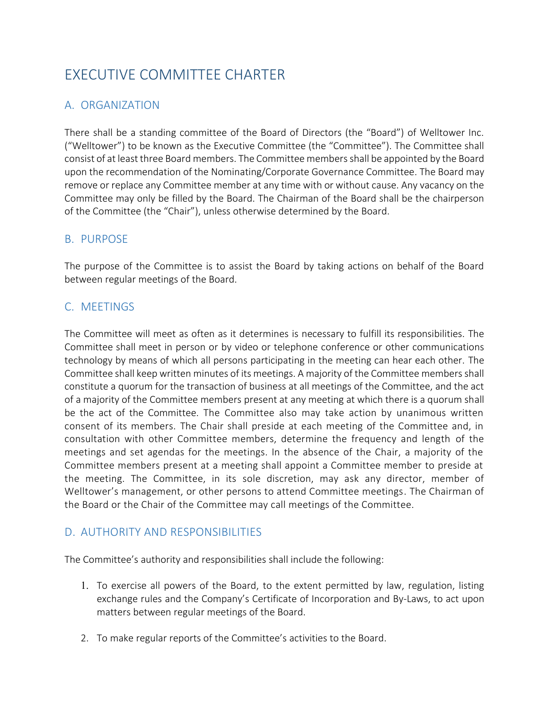# EXECUTIVE COMMITTEE CHARTER

# A. ORGANIZATION

There shall be a standing committee of the Board of Directors (the "Board") of Welltower Inc. ("Welltower") to be known as the Executive Committee (the "Committee"). The Committee shall consist of at least three Board members. The Committee members shall be appointed by the Board upon the recommendation of the Nominating/Corporate Governance Committee. The Board may remove or replace any Committee member at any time with or without cause. Any vacancy on the Committee may only be filled by the Board. The Chairman of the Board shall be the chairperson of the Committee (the "Chair"), unless otherwise determined by the Board.

#### B. PURPOSE

The purpose of the Committee is to assist the Board by taking actions on behalf of the Board between regular meetings of the Board.

## C. MEETINGS

The Committee will meet as often as it determines is necessary to fulfill its responsibilities. The Committee shall meet in person or by video or telephone conference or other communications technology by means of which all persons participating in the meeting can hear each other. The Committee shall keep written minutes of its meetings. A majority of the Committee members shall constitute a quorum for the transaction of business at all meetings of the Committee, and the act of a majority of the Committee members present at any meeting at which there is a quorum shall be the act of the Committee. The Committee also may take action by unanimous written consent of its members. The Chair shall preside at each meeting of the Committee and, in consultation with other Committee members, determine the frequency and length of the meetings and set agendas for the meetings. In the absence of the Chair, a majority of the Committee members present at a meeting shall appoint a Committee member to preside at the meeting. The Committee, in its sole discretion, may ask any director, member of Welltower's management, or other persons to attend Committee meetings. The Chairman of the Board or the Chair of the Committee may call meetings of the Committee.

## D. AUTHORITY AND RESPONSIBILITIES

The Committee's authority and responsibilities shall include the following:

- 1. To exercise all powers of the Board, to the extent permitted by law, regulation, listing exchange rules and the Company's Certificate of Incorporation and By-Laws, to act upon matters between regular meetings of the Board.
- 2. To make regular reports of the Committee's activities to the Board.